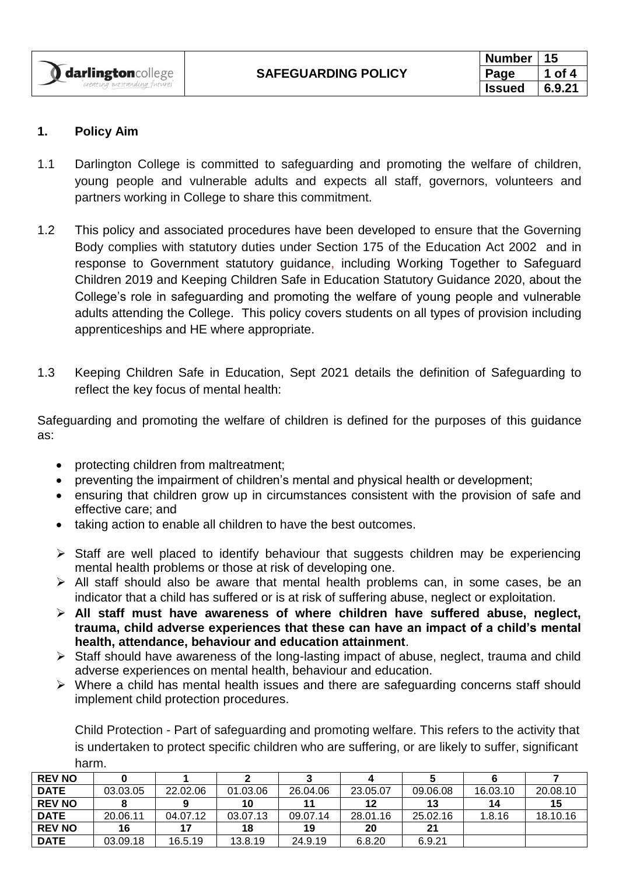| <b>Number</b> |        |
|---------------|--------|
| Page          | Ωf     |
| Issued        | 6.9.21 |

### **1. Policy Aim**

- 1.1 Darlington College is committed to safeguarding and promoting the welfare of children, young people and vulnerable adults and expects all staff, governors, volunteers and partners working in College to share this commitment.
- 1.2 This policy and associated procedures have been developed to ensure that the Governing Body complies with statutory duties under Section 175 of the Education Act 2002 and in response to Government statutory guidance, including Working Together to Safeguard Children 2019 and Keeping Children Safe in Education Statutory Guidance 2020, about the College's role in safeguarding and promoting the welfare of young people and vulnerable adults attending the College. This policy covers students on all types of provision including apprenticeships and HE where appropriate.
- 1.3 Keeping Children Safe in Education, Sept 2021 details the definition of Safeguarding to reflect the key focus of mental health:

Safeguarding and promoting the welfare of children is defined for the purposes of this guidance as:

- protecting children from maltreatment;
- preventing the impairment of children's mental and physical health or development;
- ensuring that children grow up in circumstances consistent with the provision of safe and effective care; and
- taking action to enable all children to have the best outcomes.
- ➢ Staff are well placed to identify behaviour that suggests children may be experiencing mental health problems or those at risk of developing one.
- ➢ All staff should also be aware that mental health problems can, in some cases, be an indicator that a child has suffered or is at risk of suffering abuse, neglect or exploitation.
- ➢ **All staff must have awareness of where children have suffered abuse, neglect, trauma, child adverse experiences that these can have an impact of a child's mental health, attendance, behaviour and education attainment**.
- ➢ Staff should have awareness of the long-lasting impact of abuse, neglect, trauma and child adverse experiences on mental health, behaviour and education.
- ➢ Where a child has mental health issues and there are safeguarding concerns staff should implement child protection procedures.

Child Protection - Part of safeguarding and promoting welfare. This refers to the activity that is undertaken to protect specific children who are suffering, or are likely to suffer, significant harm.

| <b>REV NO</b> |          |          |          |          |          |          |          |          |
|---------------|----------|----------|----------|----------|----------|----------|----------|----------|
| <b>DATE</b>   | 03.03.05 | 22.02.06 | 01.03.06 | 26.04.06 | 23.05.07 | 09.06.08 | 16.03.10 | 20.08.10 |
| <b>REV NO</b> |          |          | 10       |          | $12 \,$  | 13       | 14       | 15       |
| <b>DATE</b>   | 20.06.11 | 04.07.12 | 03.07.13 | 09.07.14 | 28.01.16 | 25.02.16 | 1.8.16   | 18.10.16 |
| <b>REV NO</b> | 16       | 17       | 18       | 19       | 20       | 21       |          |          |
| <b>DATE</b>   | 03.09.18 | 16.5.19  | 13.8.19  | 24.9.19  | 6.8.20   | 6.9.21   |          |          |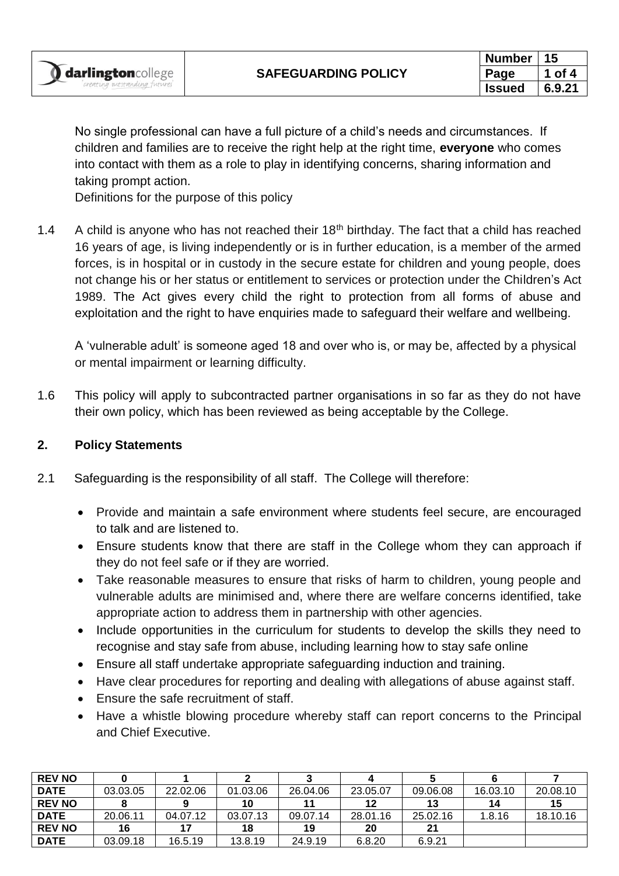No single professional can have a full picture of a child's needs and circumstances. If children and families are to receive the right help at the right time, **everyone** who comes into contact with them as a role to play in identifying concerns, sharing information and taking prompt action.

Definitions for the purpose of this policy

1.4 A child is anyone who has not reached their  $18<sup>th</sup>$  birthday. The fact that a child has reached 16 years of age, is living independently or is in further education, is a member of the armed forces, is in hospital or in custody in the secure estate for children and young people, does not change his or her status or entitlement to services or protection under the Children's Act 1989. The Act gives every child the right to protection from all forms of abuse and exploitation and the right to have enquiries made to safeguard their welfare and wellbeing.

A 'vulnerable adult' is someone aged 18 and over who is, or may be, affected by a physical or mental impairment or learning difficulty.

1.6 This policy will apply to subcontracted partner organisations in so far as they do not have their own policy, which has been reviewed as being acceptable by the College.

## **2. Policy Statements**

- 2.1 Safeguarding is the responsibility of all staff. The College will therefore:
	- Provide and maintain a safe environment where students feel secure, are encouraged to talk and are listened to.
	- Ensure students know that there are staff in the College whom they can approach if they do not feel safe or if they are worried.
	- Take reasonable measures to ensure that risks of harm to children, young people and vulnerable adults are minimised and, where there are welfare concerns identified, take appropriate action to address them in partnership with other agencies.
	- Include opportunities in the curriculum for students to develop the skills they need to recognise and stay safe from abuse, including learning how to stay safe online
	- Ensure all staff undertake appropriate safeguarding induction and training.
	- Have clear procedures for reporting and dealing with allegations of abuse against staff.
	- Ensure the safe recruitment of staff.
	- Have a whistle blowing procedure whereby staff can report concerns to the Principal and Chief Executive.

| <b>REV NO</b> |          |          |          |          |          |          |          |          |
|---------------|----------|----------|----------|----------|----------|----------|----------|----------|
| <b>DATE</b>   | 03.03.05 | 22.02.06 | 01.03.06 | 26.04.06 | 23.05.07 | 09.06.08 | 16.03.10 | 20.08.10 |
| <b>REV NO</b> |          | 9        | 10       |          | 12       | 13       | 14       | 15       |
| <b>DATE</b>   | 20.06.11 | 04.07.12 | 03.07.13 | 09.07.14 | 28.01.16 | 25.02.16 | 1.8.16   | 18.10.16 |
| <b>REV NO</b> | 16       | -17      | 18       | 19       | 20       | 21       |          |          |
| <b>DATE</b>   | 03.09.18 | 16.5.19  | 13.8.19  | 24.9.19  | 6.8.20   | 6.9.21   |          |          |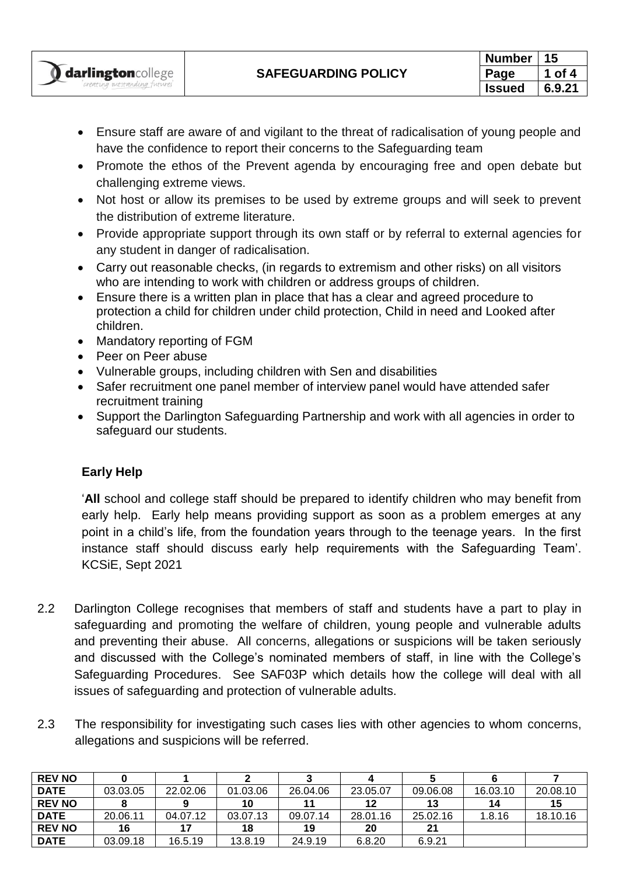- Ensure staff are aware of and vigilant to the threat of radicalisation of young people and have the confidence to report their concerns to the Safeguarding team
- Promote the ethos of the Prevent agenda by encouraging free and open debate but challenging extreme views.
- Not host or allow its premises to be used by extreme groups and will seek to prevent the distribution of extreme literature.
- Provide appropriate support through its own staff or by referral to external agencies for any student in danger of radicalisation.
- Carry out reasonable checks, (in regards to extremism and other risks) on all visitors who are intending to work with children or address groups of children.
- Ensure there is a written plan in place that has a clear and agreed procedure to protection a child for children under child protection, Child in need and Looked after children.
- Mandatory reporting of FGM
- Peer on Peer abuse
- Vulnerable groups, including children with Sen and disabilities
- Safer recruitment one panel member of interview panel would have attended safer recruitment training
- Support the Darlington Safeguarding Partnership and work with all agencies in order to safeguard our students.

# **Early Help**

'**All** school and college staff should be prepared to identify children who may benefit from early help. Early help means providing support as soon as a problem emerges at any point in a child's life, from the foundation years through to the teenage years. In the first instance staff should discuss early help requirements with the Safeguarding Team'. KCSiE, Sept 2021

- 2.2 Darlington College recognises that members of staff and students have a part to play in safeguarding and promoting the welfare of children, young people and vulnerable adults and preventing their abuse. All concerns, allegations or suspicions will be taken seriously and discussed with the College's nominated members of staff, in line with the College's Safeguarding Procedures. See SAF03P which details how the college will deal with all issues of safeguarding and protection of vulnerable adults.
- 2.3 The responsibility for investigating such cases lies with other agencies to whom concerns, allegations and suspicions will be referred.

| <b>REV NO</b> |          |          |          |          |          |          |          |          |
|---------------|----------|----------|----------|----------|----------|----------|----------|----------|
| <b>DATE</b>   | 03.03.05 | 22.02.06 | 01.03.06 | 26.04.06 | 23.05.07 | 09.06.08 | 16.03.10 | 20.08.10 |
| <b>REV NO</b> |          |          | 10       |          | 12       | 13       | 14       | 15       |
| <b>DATE</b>   | 20.06.11 | 04.07.12 | 03.07.13 | 09.07.14 | 28.01.16 | 25.02.16 | 1.8.16   | 18.10.16 |
| <b>REV NO</b> | 16       | 17       | 18       | 19       | 20       | 21       |          |          |
| <b>DATE</b>   | 03.09.18 | 16.5.19  | 13.8.19  | 24.9.19  | 6.8.20   | 6.9.21   |          |          |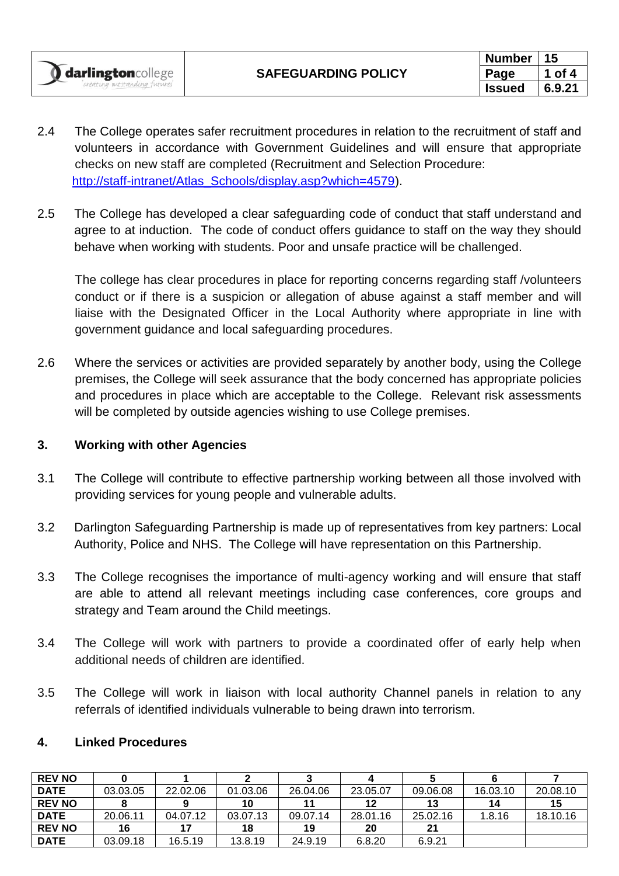- 2.4 The College operates safer recruitment procedures in relation to the recruitment of staff and volunteers in accordance with Government Guidelines and will ensure that appropriate checks on new staff are completed (Recruitment and Selection Procedure: [http://staff-intranet/Atlas\\_Schools/display.asp?which=4579\)](http://staff-intranet/Atlas_Schools/display.asp?which=4579).
- 2.5 The College has developed a clear safeguarding code of conduct that staff understand and agree to at induction. The code of conduct offers guidance to staff on the way they should behave when working with students. Poor and unsafe practice will be challenged.

The college has clear procedures in place for reporting concerns regarding staff /volunteers conduct or if there is a suspicion or allegation of abuse against a staff member and will liaise with the Designated Officer in the Local Authority where appropriate in line with government guidance and local safeguarding procedures.

2.6 Where the services or activities are provided separately by another body, using the College premises, the College will seek assurance that the body concerned has appropriate policies and procedures in place which are acceptable to the College. Relevant risk assessments will be completed by outside agencies wishing to use College premises.

### **3. Working with other Agencies**

- 3.1 The College will contribute to effective partnership working between all those involved with providing services for young people and vulnerable adults.
- 3.2 Darlington Safeguarding Partnership is made up of representatives from key partners: Local Authority, Police and NHS. The College will have representation on this Partnership.
- 3.3 The College recognises the importance of multi-agency working and will ensure that staff are able to attend all relevant meetings including case conferences, core groups and strategy and Team around the Child meetings.
- 3.4 The College will work with partners to provide a coordinated offer of early help when additional needs of children are identified.
- 3.5 The College will work in liaison with local authority Channel panels in relation to any referrals of identified individuals vulnerable to being drawn into terrorism.

### **4. Linked Procedures**

| <b>REV NO</b> |          |          |          |          |          |          |          |          |
|---------------|----------|----------|----------|----------|----------|----------|----------|----------|
| <b>DATE</b>   | 03.03.05 | 22.02.06 | 01.03.06 | 26.04.06 | 23.05.07 | 09.06.08 | 16.03.10 | 20.08.10 |
| <b>REV NO</b> |          |          | 10       |          | 12       | 13       | 14       | 15       |
| <b>DATE</b>   | 20.06.11 | 04.07.12 | 03.07.13 | 09.07.14 | 28.01.16 | 25.02.16 | 1.8.16   | 18.10.16 |
| <b>REV NO</b> | 16       |          | 18       | 19       | 20       | 21       |          |          |
| <b>DATE</b>   | 03.09.18 | 16.5.19  | 13.8.19  | 24.9.19  | 6.8.20   | 6.9.21   |          |          |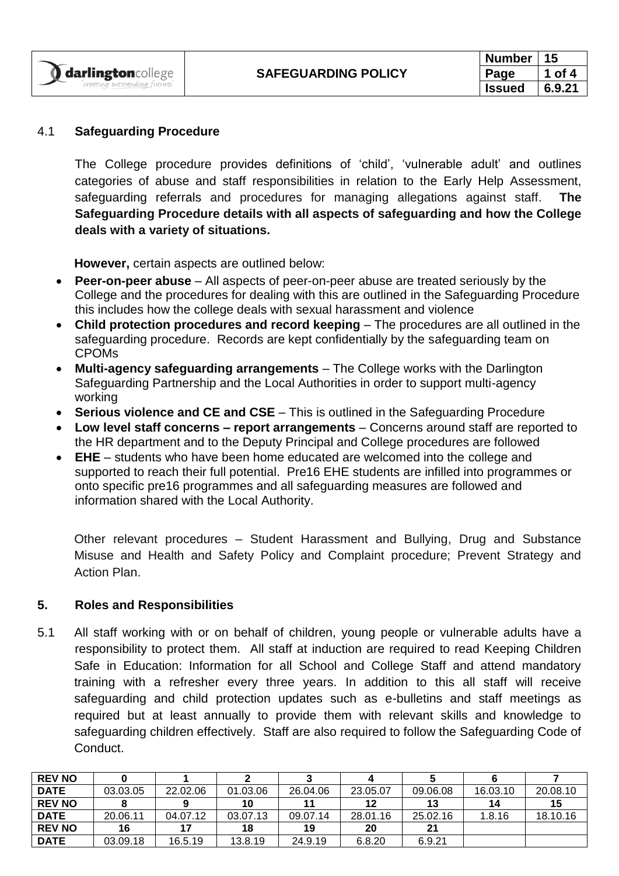### 4.1 **Safeguarding Procedure**

*atstanding fut* 

darlingtoncollege

The College procedure provides definitions of 'child', 'vulnerable adult' and outlines categories of abuse and staff responsibilities in relation to the Early Help Assessment, safeguarding referrals and procedures for managing allegations against staff. **The Safeguarding Procedure details with all aspects of safeguarding and how the College deals with a variety of situations.**

**However,** certain aspects are outlined below:

- **Peer-on-peer abuse** All aspects of peer-on-peer abuse are treated seriously by the College and the procedures for dealing with this are outlined in the Safeguarding Procedure this includes how the college deals with sexual harassment and violence
- Child protection procedures and record keeping The procedures are all outlined in the safeguarding procedure. Records are kept confidentially by the safeguarding team on CPOMs
- **Multi-agency safeguarding arrangements** The College works with the Darlington Safeguarding Partnership and the Local Authorities in order to support multi-agency working
- **Serious violence and CE and CSE** This is outlined in the Safeguarding Procedure
- **Low level staff concerns – report arrangements** Concerns around staff are reported to the HR department and to the Deputy Principal and College procedures are followed
- **EHE** students who have been home educated are welcomed into the college and supported to reach their full potential. Pre16 EHE students are infilled into programmes or onto specific pre16 programmes and all safeguarding measures are followed and information shared with the Local Authority.

Other relevant procedures – Student Harassment and Bullying, Drug and Substance Misuse and Health and Safety Policy and Complaint procedure; Prevent Strategy and Action Plan.

### **5. Roles and Responsibilities**

5.1 All staff working with or on behalf of children, young people or vulnerable adults have a responsibility to protect them. All staff at induction are required to read Keeping Children Safe in Education: Information for all School and College Staff and attend mandatory training with a refresher every three years. In addition to this all staff will receive safeguarding and child protection updates such as e-bulletins and staff meetings as required but at least annually to provide them with relevant skills and knowledge to safeguarding children effectively. Staff are also required to follow the Safeguarding Code of Conduct.

| <b>REV NO</b> |          |          |          |          |          |          |          |          |
|---------------|----------|----------|----------|----------|----------|----------|----------|----------|
| <b>DATE</b>   | 03.03.05 | 22.02.06 | 01.03.06 | 26.04.06 | 23.05.07 | 09.06.08 | 16.03.10 | 20.08.10 |
| <b>REV NO</b> |          |          | 10       |          | 12       | 13       | 14       | 15       |
| <b>DATE</b>   | 20.06.11 | 04.07.12 | 03.07.13 | 09.07.14 | 28.01.16 | 25.02.16 | 1.8.16   | 18.10.16 |
| <b>REV NO</b> | 16       | 17       | 18       | 19       | 20       | 21       |          |          |
| <b>DATE</b>   | 03.09.18 | 16.5.19  | 13.8.19  | 24.9.19  | 6.8.20   | 6.9.21   |          |          |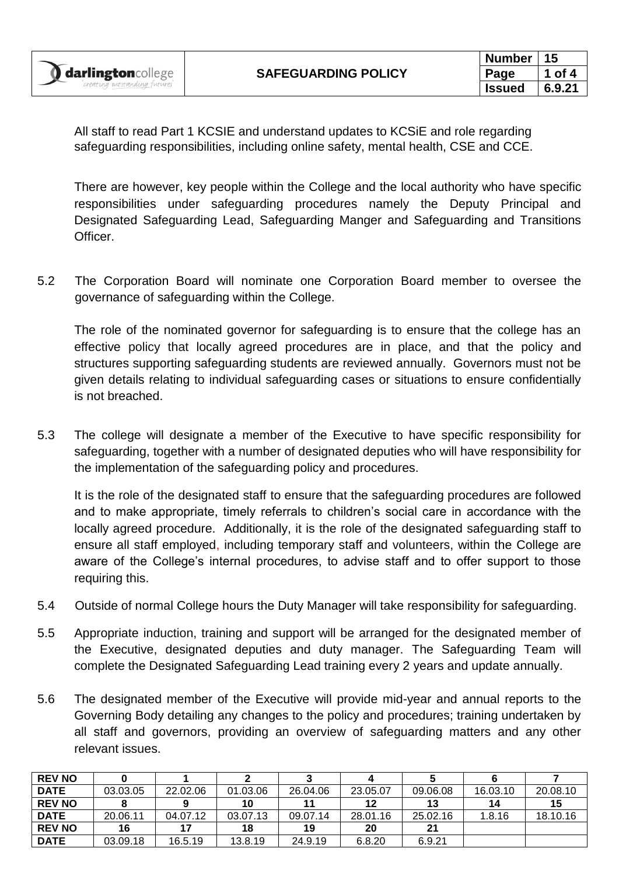All staff to read Part 1 KCSIE and understand updates to KCSiE and role regarding safeguarding responsibilities, including online safety, mental health, CSE and CCE.

There are however, key people within the College and the local authority who have specific responsibilities under safeguarding procedures namely the Deputy Principal and Designated Safeguarding Lead, Safeguarding Manger and Safeguarding and Transitions Officer.

5.2 The Corporation Board will nominate one Corporation Board member to oversee the governance of safeguarding within the College.

The role of the nominated governor for safeguarding is to ensure that the college has an effective policy that locally agreed procedures are in place, and that the policy and structures supporting safeguarding students are reviewed annually. Governors must not be given details relating to individual safeguarding cases or situations to ensure confidentially is not breached.

5.3 The college will designate a member of the Executive to have specific responsibility for safeguarding, together with a number of designated deputies who will have responsibility for the implementation of the safeguarding policy and procedures.

It is the role of the designated staff to ensure that the safeguarding procedures are followed and to make appropriate, timely referrals to children's social care in accordance with the locally agreed procedure. Additionally, it is the role of the designated safeguarding staff to ensure all staff employed, including temporary staff and volunteers, within the College are aware of the College's internal procedures, to advise staff and to offer support to those requiring this.

- 5.4 Outside of normal College hours the Duty Manager will take responsibility for safeguarding.
- 5.5 Appropriate induction, training and support will be arranged for the designated member of the Executive, designated deputies and duty manager. The Safeguarding Team will complete the Designated Safeguarding Lead training every 2 years and update annually.
- 5.6 The designated member of the Executive will provide mid-year and annual reports to the Governing Body detailing any changes to the policy and procedures; training undertaken by all staff and governors, providing an overview of safeguarding matters and any other relevant issues.

| <b>REV NO</b> |          |          |          |          |          |          |          |          |
|---------------|----------|----------|----------|----------|----------|----------|----------|----------|
| <b>DATE</b>   | 03.03.05 | 22.02.06 | 01.03.06 | 26.04.06 | 23.05.07 | 09.06.08 | 16.03.10 | 20.08.10 |
| <b>REV NO</b> |          | 9        | 10       |          | 12       | 13       | 14       | 15       |
| <b>DATE</b>   | 20.06.11 | 04.07.12 | 03.07.13 | 09.07.14 | 28.01.16 | 25.02.16 | 1.8.16   | 18.10.16 |
| <b>REV NO</b> | 16       | 17       | 18       | 19       | 20       | 21       |          |          |
| <b>DATE</b>   | 03.09.18 | 16.5.19  | 13.8.19  | 24.9.19  | 6.8.20   | 6.9.21   |          |          |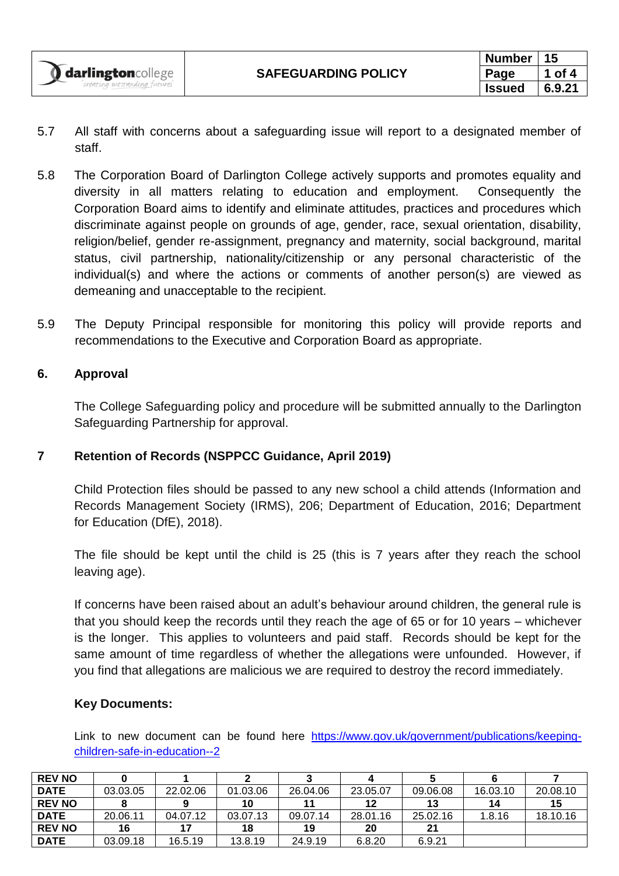- 5.7 All staff with concerns about a safeguarding issue will report to a designated member of staff.
- 5.8 The Corporation Board of Darlington College actively supports and promotes equality and diversity in all matters relating to education and employment. Consequently the Corporation Board aims to identify and eliminate attitudes, practices and procedures which discriminate against people on grounds of age, gender, race, sexual orientation, disability, religion/belief, gender re-assignment, pregnancy and maternity, social background, marital status, civil partnership, nationality/citizenship or any personal characteristic of the individual(s) and where the actions or comments of another person(s) are viewed as demeaning and unacceptable to the recipient.
- 5.9 The Deputy Principal responsible for monitoring this policy will provide reports and recommendations to the Executive and Corporation Board as appropriate.

### **6. Approval**

darlingtoncollege

The College Safeguarding policy and procedure will be submitted annually to the Darlington Safeguarding Partnership for approval.

### **7 Retention of Records (NSPPCC Guidance, April 2019)**

Child Protection files should be passed to any new school a child attends (Information and Records Management Society (IRMS), 206; Department of Education, 2016; Department for Education (DfE), 2018).

The file should be kept until the child is 25 (this is 7 years after they reach the school leaving age).

If concerns have been raised about an adult's behaviour around children, the general rule is that you should keep the records until they reach the age of 65 or for 10 years – whichever is the longer. This applies to volunteers and paid staff. Records should be kept for the same amount of time regardless of whether the allegations were unfounded. However, if you find that allegations are malicious we are required to destroy the record immediately.

### **Key Documents:**

Link to new document can be found here [https://www.gov.uk/government/publications/keeping](https://www.gov.uk/government/publications/keeping-children-safe-in-education--2)[children-safe-in-education--2](https://www.gov.uk/government/publications/keeping-children-safe-in-education--2)

| <b>REV NO</b> |          |          |          |          |          |          |          |          |
|---------------|----------|----------|----------|----------|----------|----------|----------|----------|
| <b>DATE</b>   | 03.03.05 | 22.02.06 | 01.03.06 | 26.04.06 | 23.05.07 | 09.06.08 | 16.03.10 | 20.08.10 |
| <b>REV NO</b> |          |          | 10       |          | 12       | 13       | 14       | 15       |
| <b>DATE</b>   | 20.06.11 | 04.07.12 | 03.07.13 | 09.07.14 | 28.01.16 | 25.02.16 | 1.8.16   | 18.10.16 |
| <b>REV NO</b> | 16       | 17       | 18       | 19       | 20       | 21       |          |          |
| <b>DATE</b>   | 03.09.18 | 16.5.19  | 13.8.19  | 24.9.19  | 6.8.20   | 6.9.21   |          |          |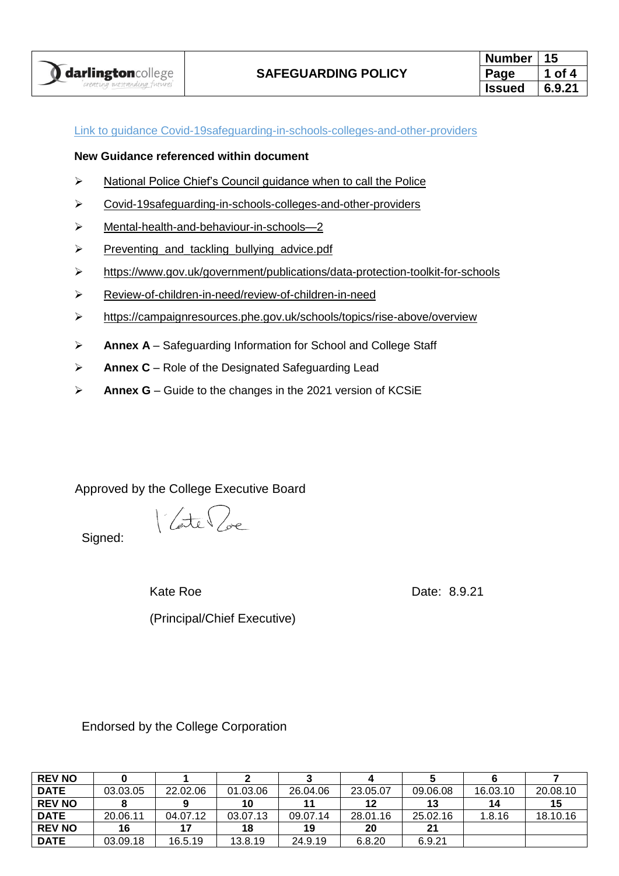| Number        |        |  |  |
|---------------|--------|--|--|
| Page          | of 4   |  |  |
| <b>Issued</b> | 6.9.21 |  |  |

#### Link to guidance [Covid-19safeguarding-in-schools-colleges-and-other-providers](https://www.gov.uk/government/publications/covid-19safeguarding-in-schools-colleges-and-other-providers)

#### **New Guidance referenced within document**

- ➢ [National Police Chief's Council guidance](https://www.npcc.police.uk/documents/Children%20and%20Young%20people/When%20to%20call%20the%20police%20guidance%20for%20schools%20and%20colleges.pdf) when to call the Police
- ➢ [Covid-19safeguarding-in-schools-colleges-and-other-providers](https://www.gov.uk/government/publications/covid-19safeguarding-in-schools-colleges-and-other-providers)
- ➢ [Mental-health-and-behaviour-in-schools—2](https://www.gov.uk/government/publications/mental-health-and-behaviour-in-schools--2)
- ➢ [Preventing\\_and\\_tackling\\_bullying\\_advice.pdf](https://assets.publishing.service.gov.uk/government/uploads/system/uploads/attachment_data/file/623895/Preventing_and_tackling_bullying_advice.pdf)
- ➢ [https://www.gov.uk/government/publications/data-protection-toolkit-for-schools](https://www.gov.uk/government/publications/review-of-children-in-need/review-of-children-in-need)
- ➢ [Review-of-children-in-need/review-of-children-in-need](https://www.gov.uk/government/publications/review-of-children-in-need/review-of-children-in-need)
- ➢ <https://campaignresources.phe.gov.uk/schools/topics/rise-above/overview>
- ➢ **Annex A** Safeguarding Information for School and College Staff
- ➢ **Annex C** Role of the Designated Safeguarding Lead
- ➢ **Annex G** Guide to the changes in the 2021 version of KCSiE

Approved by the College Executive Board

Vate / se

(Principal/Chief Executive)

Signed:

Kate Roe **Date:** 8.9.21

Endorsed by the College Corporation

| <b>REV NO</b> |          |          |          |          |          |          |          |          |
|---------------|----------|----------|----------|----------|----------|----------|----------|----------|
| <b>DATE</b>   | 03.03.05 | 22.02.06 | 01.03.06 | 26.04.06 | 23.05.07 | 09.06.08 | 16.03.10 | 20.08.10 |
| <b>REV NO</b> |          |          | 10       | 11       | 12       | 13       | 14       | 15       |
| <b>DATE</b>   | 20.06.11 | 04.07.12 | 03.07.13 | 09.07.14 | 28.01.16 | 25.02.16 | 1.8.16   | 18.10.16 |
| <b>REV NO</b> | 16       | 17       | 18       | 19       | 20       | 21       |          |          |
| <b>DATE</b>   | 03.09.18 | 16.5.19  | 13.8.19  | 24.9.19  | 6.8.20   | 6.9.21   |          |          |